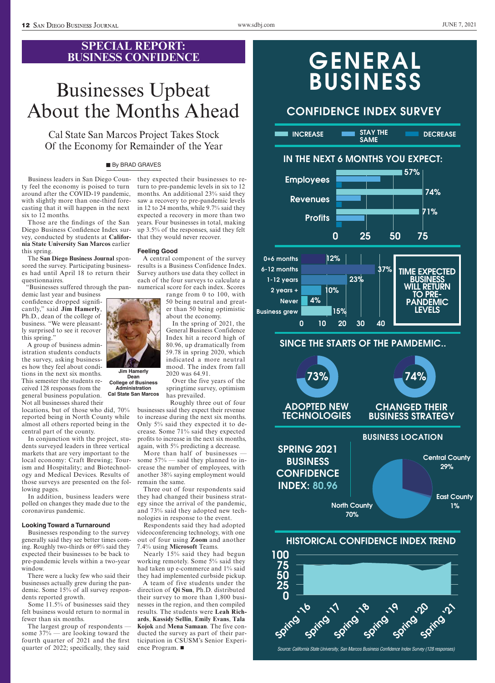### **SPECIAL REPORT: BUSINESS CONFIDENCE**

## Businesses Upbeat About the Months Ahead

Cal State San Marcos Project Takes Stock Of the Economy for Remainder of the Year

### **By BRAD GRAVES**

Business leaders in San Diego County feel the economy is poised to turn around after the COVID-19 pandemic, with slightly more than one-third forecasting that it will happen in the next six to 12 months.

Those are the findings of the San Diego Business Confidence Index survey, conducted by students at **California State University San Marcos** earlier this spring.

The **San Diego Business Journal** sponsored the survey. Participating businesses had until April 18 to return their questionnaires.

"Businesses suffered through the pan-

demic last year and business confidence dropped significantly," said **Jim Hamerly**, Ph.D., dean of the college of business. "We were pleasantly surprised to see it recover this spring."

A group of business administration students conducts the survey, asking businesses how they feel about conditions in the next six months. This semester the students received 128 responses from the general business population. Not all businesses shared their

locations, but of those who did, 70% reported being in North County while almost all others reported being in the central part of the county.

In conjunction with the project, students surveyed leaders in three vertical markets that are very important to the local economy: Craft Brewing; Tourism and Hospitality; and Biotechnology and Medical Devices. Results of those surveys are presented on the following pages.

In addition, business leaders were polled on changes they made due to the coronavirus pandemic.

#### **Looking Toward a Turnaround**

Businesses responding to the survey generally said they see better times coming. Roughly two-thirds or 69% said they expected their businesses to be back to pre-pandemic levels within a two-year window.

There were a lucky few who said their businesses actually grew during the pandemic. Some 15% of all survey respondents reported growth.

Some 11.5% of businesses said they felt business would return to normal in fewer than six months.

The largest group of respondents some 37% — are looking toward the fourth quarter of 2021 and the first quarter of 2022; specifically, they said

they expected their businesses to return to pre-pandemic levels in six to 12 months. An additional 23% said they saw a recovery to pre-pandemic levels in 12 to 24 months, while 9.7% said they expected a recovery in more than two years. Four businesses in total, making up 3.5% of the responses, said they felt that they would never recover.

#### **Feeling Good**

A central component of the survey results is a Business Confidence Index. Survey authors use data they collect in each of the four surveys to calculate a numerical score for each index. Scores

range from 0 to 100, with 50 being neutral and greater than 50 being optimistic about the economy.

In the spring of 2021, the General Business Confidence Index hit a record high of 80.96, up dramatically from 59.78 in spring 2020, which indicated a more neutral mood. The index from fall 2020 was 64.91.

Over the five years of the springtime survey, optimism has prevailed.

Roughly three out of four businesses said they expect their revenue to increase during the next six months. Only 5% said they expected it to decrease. Some 71% said they expected profits to increase in the next six months, again, with 5% predicting a decrease.

More than half of businesses some 57% — said they planned to increase the number of employees, with another 38% saying employment would remain the same.

Three out of four respondents said they had changed their business strategy since the arrival of the pandemic, and 73% said they adopted new technologies in response to the event.

Respondents said they had adopted videoconferencing technology, with one out of four using **Zoom** and another 7.4% using **Microsoft** Teams.

Nearly 15% said they had begun working remotely. Some 5% said they had taken up e-commerce and 1% said they had implemented curbside pickup.

A team of five students under the direction of **Qi Sun**, Ph.D. distributed their survey to more than 1,800 businesses in the region, and then compiled results. The students were **Leah Richards**, **Kassidy Sellin**, **Emily Evans**, **Tala Kojok** and **Mena Samaan**. The five conducted the survey as part of their participation in CSUSM's Senior Experience Program.  $\blacksquare$ 



### **CONFIDENCE INDEX SURVEY**



**DECREASE STAY THE** 

### **IN THE NEXT 6 MONTHS YOU EXPECT:**

**SAME**



### **SINCE THE STARTS OF THE PAMDEMIC..**



### **HISTORICAL CONFIDENCE INDEX TREND**



*Source: California State University, San Marcos Business Confidence Index Survey (128 responses)*



**Dean College of Business Administration Cal State San Marcos**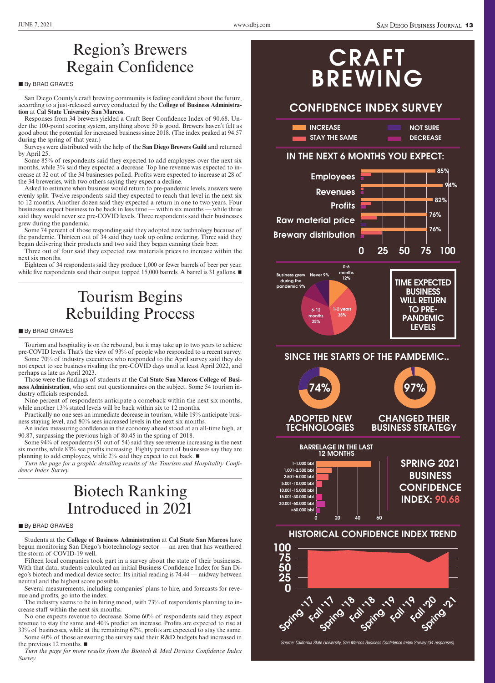### Region's Brewers Regain Confidence

### **By BRAD GRAVES**

San Diego County's craft brewing community is feeling confident about the future, according to a just-released survey conducted by the **College of Business Administration** at **Cal State University San Marcos**.

Responses from 34 brewers yielded a Craft Beer Confidence Index of 90.68. Under the 100-point scoring system, anything above 50 is good. Brewers haven't felt as good about the potential for increased business since 2018. (The index peaked at 94.57 during the spring of that year.)

Surveys were distributed with the help of the **San Diego Brewers Guild** and returned by April 25.

Some 85% of respondents said they expected to add employees over the next six months, while 3% said they expected a decrease. Top line revenue was expected to increase at 32 out of the 34 businesses polled. Profits were expected to increase at 28 of the 34 breweries, with two others saying they expect a decline.

Asked to estimate when business would return to pre-pandemic levels, answers were evenly split. Twelve respondents said they expected to reach that level in the next six to 12 months. Another dozen said they expected a return in one to two years. Four businesses expect business to be back in less time — within six months — while three said they would never see pre-COVID levels. Three respondents said their businesses grew during the pandemic.

Some 74 percent of those responding said they adopted new technology because of the pandemic. Thirteen out of 34 said they took up online ordering. Three said they began delivering their products and two said they began canning their beer.

Three out of four said they expected raw materials prices to increase within the next six months.

Eighteen of 34 respondents said they produce 1,000 or fewer barrels of beer per year, while five respondents said their output topped 15,000 barrels. A barrel is 31 gallons.  $\blacksquare$ 

## Tourism Begins Rebuilding Process

#### By BRAD GRAVES

Tourism and hospitality is on the rebound, but it may take up to two years to achieve pre-COVID levels. That's the view of 93% of people who responded to a recent survey.

Some 70% of industry executives who responded to the April survey said they do not expect to see business rivaling the pre-COVID days until at least April 2022, and perhaps as late as April 2023.

Those were the findings of students at the **Cal State San Marcos College of Business Administration**, who sent out questionnaires on the subject. Some 54 tourism industry officials responded.

Nine percent of respondents anticipate a comeback within the next six months, while another 13% stated levels will be back within six to 12 months.

Practically no one sees an immediate decrease in tourism, while 19% anticipate business staying level, and 80% sees increased levels in the next six months.

An index measuring confidence in the economy ahead stood at an all-time high, at 90.87, surpassing the previous high of 80.45 in the spring of 2018.

Some 94% of respondents (51 out of 54) said they see revenue increasing in the next six months, while 83% see profits increasing. Eighty percent of businesses say they are planning to add employees, while  $2\%$  said they expect to cut back.  $\blacksquare$ 

*Turn the page for a graphic detailing results of the Tourism and Hospitality Confidence Index Survey.*

## Biotech Ranking Introduced in 2021

#### **By BRAD GRAVES**

Students at the **College of Business Administration** at **Cal State San Marcos** have begun monitoring San Diego's biotechnology sector — an area that has weathered the storm of COVID-19 well.

Fifteen local companies took part in a survey about the state of their businesses. With that data, students calculated an initial Business Confidence Index for San Diego's biotech and medical device sector. Its initial reading is 74.44 — midway between neutral and the highest score possible.

Several measurements, including companies' plans to hire, and forecasts for revenue and profits, go into the index.

The industry seems to be in hiring mood, with 73% of respondents planning to increase staff within the next six months.

No one expects revenue to decrease. Some 60% of respondents said they expect revenue to stay the same and 40% predict an increase. Profits are expected to rise at

33% of businesses, while at the remaining 67%, profits are expected to stay the same. Some 40% of those answering the survey said their R&D budgets had increased in the previous 12 months.  $\blacksquare$ 

*Turn the page for more results from the Biotech & Med Devices Confidence Index Survey.*

# **CRAFT BREWING**

### **CONFIDENCE INDEX SURVEY**

| <b>INCREASE</b>      | <b>NOT SURE</b> |
|----------------------|-----------------|
| <b>STAY THE SAME</b> | <b>DECREASE</b> |

### **IN THE NEXT 6 MONTHS YOU EXPECT:**



**SINCE THE STARTS OF THE PAMDEMIC..**





*Source: California State University, San Marcos Business Confidence Index Survey (34 responses)*